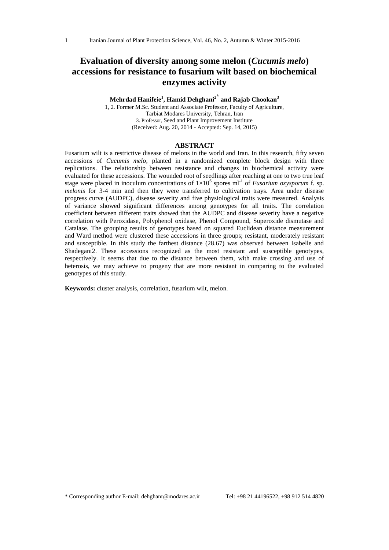# **Evaluation of diversity among some melon (***Cucumis melo***) accessions for resistance to fusarium wilt based on biochemical enzymes activity**

### **Mehrdad Hanifeie<sup>1</sup> , Hamid Dehghani<sup>2</sup>\* and Rajab Chookan<sup>3</sup>**

1, 2. Former M.Sc. Student and Associate Professor, Faculty of Agriculture, Tarbiat Modares University, Tehran, Iran 3. Professor, Seed and Plant Improvement Institute (Received: Aug. 20, 2014 - Accepted: Sep. 14, 2015)

### **ABSTRACT**

Fusarium wilt is a restrictive disease of melons in the world and Iran. In this research, fifty seven accessions of *Cucumis melo*, planted in a randomized complete block design with three replications. The relationship between resistance and changes in biochemical activity were evaluated for these accessions. The wounded root of seedlings after reaching at one to two true leaf stage were placed in inoculum concentrations of  $1\times10^6$  spores ml<sup>-1</sup> of *Fusarium oxysporum* f. sp. *melonis* for 3-4 min and then they were transferred to cultivation trays. Area under disease progress curve (AUDPC), disease severity and five physiological traits were measured. Analysis of variance showed significant differences among genotypes for all traits. The correlation coefficient between different traits showed that the AUDPC and disease severity have a negative correlation with Peroxidase, Polyphenol oxidase, Phenol Compound, Superoxide dismutase and Catalase. The grouping results of genotypes based on squared Euclidean distance measurement and Ward method were clustered these accessions in three groups; resistant, moderately resistant and susceptible. In this study the farthest distance (28.67) was observed between Isabelle and Shadegani2. These accessions recognized as the most resistant and susceptible genotypes, respectively. It seems that due to the distance between them, with make crossing and use of heterosis, we may achieve to progeny that are more resistant in comparing to the evaluated genotypes of this study.

**Keywords:** cluster analysis, correlation, fusarium wilt, melon.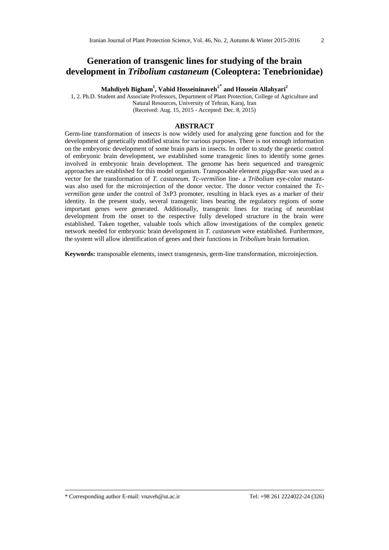### **Generation of transgenic lines for studying of the brain development in** *Tribolium castaneum* **(Coleoptera: Tenebrionidae)**

**Mahdiyeh Bigham<sup>1</sup> , Vahid Hosseininaveh<sup>2</sup>\* and Hossein Allahyari<sup>2</sup>**

1, 2. Ph.D. Student and Associate Professors, Department of Plant Protection, College of Agriculture and Natural Resources, University of Tehran, Karaj, Iran (Received: Aug. 15, 2015 - Accepted: Dec. 8, 2015)

#### **ABSTRACT**

Germ-line transformation of insects is now widely used for analyzing gene function and for the development of genetically modified strains for various purposes. There is not enough information on the embryonic development of some brain parts in insects. In order to study the genetic control of embryonic brain development, we established some transgenic lines to identify some genes involved in embryonic brain development. The genome has been sequenced and transgenic approaches are established for this model organism. Transposable element *piggyBac* was used as a vector for the transformation of *T. castaneum. Tc-vermilion* line- a *Tribolium* eye-color mutantwas also used for the microinjection of the donor vector. The donor vector contained the *Tcvermilion* gene under the control of 3xP3 promoter, resulting in black eyes as a marker of their identity. In the present study, several transgenic lines bearing the regulatory regions of some important genes were generated. Additionally, transgenic lines for tracing of neuroblast development from the onset to the respective fully developed structure in the brain were established. Taken together, valuable tools which allow investigations of the complex genetic network needed for embryonic brain development in *T. castaneum* were established*.* Furthermore, the system will allow identification of genes and their functions in *Tribolium* brain formation.

**Keywords:** transposable elements, insect transgenesis, germ-line transformation, microinjection.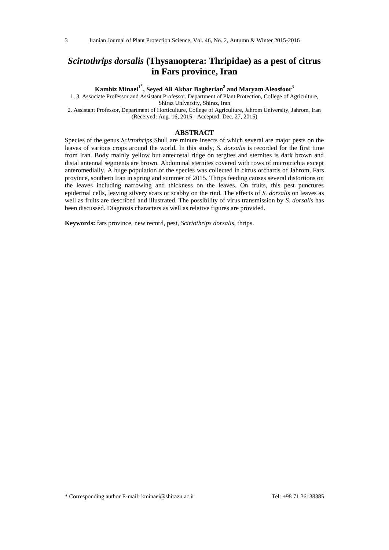# *Scirtothrips dorsalis* **(Thysanoptera: Thripidae) as a pest of citrus in Fars province, Iran**

**Kambiz Minaei<sup>1</sup>\* , Seyed Ali Akbar Bagherian<sup>2</sup> and Maryam Aleosfoor<sup>3</sup>**

1, 3. Associate Professor and Assistant Professor**,** Department of Plant Protection, College of Agriculture, Shiraz University, Shiraz, Iran

2. Assistant Professor, Department of Horticulture, College of Agriculture, Jahrom University, Jahrom, Iran (Received: Aug. 16, 2015 - Accepted: Dec. 27, 2015)

### **ABSTRACT**

Species of the genus *Scirtothrips* Shull are minute insects of which several are major pests on the leaves of various crops around the world. In this study, *S. dorsalis* is recorded for the first time from Iran. Body mainly yellow but antecostal ridge on tergites and sternites is dark brown and distal antennal segments are brown. Abdominal sternites covered with rows of microtrichia except anteromedially. A huge population of the species was collected in citrus orchards of Jahrom, Fars province, southern Iran in spring and summer of 2015. Thrips feeding causes several distortions on the leaves including narrowing and thickness on the leaves. On fruits, this pest punctures epidermal cells, leaving silvery scars or scabby on the rind. The effects of *S. dorsalis* on leaves as well as fruits are described and illustrated. The possibility of virus transmission by *S. dorsalis* has been discussed. Diagnosis characters as well as relative figures are provided.

**Keywords:** fars province, new record, pest, *Scirtothrips dorsalis*, thrips.

\* Corresponding author E-mail: kminaei@shirazu.ac.ir Tel: +98 71 36138385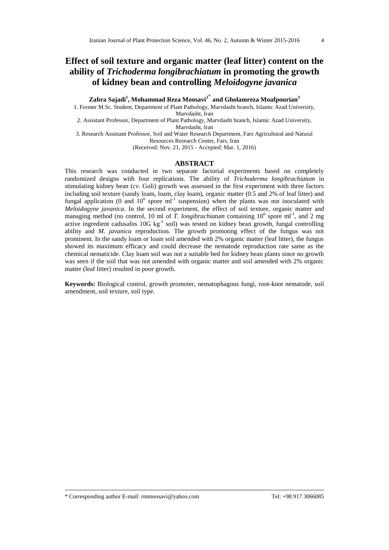# **Effect of soil texture and organic matter (leaf litter) content on the ability of** *Trichoderma longibrachiatum* **in promoting the growth of kidney bean and controlling** *Meloidogyne javanica*

**Zahra Sajadi<sup>1</sup> , Mohammad Reza Moosavi<sup>2</sup>\* and Gholamreza Moafpourian<sup>3</sup>**

1. Former M.Sc. Student, Department of Plant Pathology, Marvdasht branch, Islamic Azad University, Marvdasht, Iran

2. Assistant Professor, Department of Plant Pathology, Marvdasht branch, Islamic Azad University, Marvdasht, Iran

3. Research Assistant Professor, Soil and Water Research Department, Fars Agricultural and Natural Resources Research Center, Fars, Iran

(Received: Nov. 21, 2015 - Accepted: Mar. 1, 2016)

### **ABSTRACT**

This research was conducted in two separate factorial experiments based on completely randomized designs with four replications. The ability of *Trichoderma longibrachiatum* in stimulating kidney bean (*cv*. Goli) growth was assessed in the first experiment with three factors including soil texture (sandy loam, loam, clay loam), organic matter (0.5 and 2% of leaf litter) and fungal application (0 and  $10^6$  spore ml<sup>-1</sup> suspension) when the plants was not inoculated with *Meloidogyne javanica*. In the second experiment, the effect of soil texture, organic matter and managing method (no control, 10 ml of *T. longibrachiatum* containing  $10^6$  spore ml<sup>-1</sup>, and 2 mg active ingredient cadusafos 10G kg<sup>-1</sup> soil) was tested on kidney bean growth, fungal controlling ability and *M. javanica* reproduction. The growth promoting effect of the fungus was not prominent. In the sandy loam or loam soil amended with 2% organic matter (leaf litter), the fungus showed its maximum efficacy and could decrease the nematode reproduction rate same as the chemical nematicide. Clay loam soil was not a suitable bed for kidney bean plants since no growth was seen if the soil that was not amended with organic matter and soil amended with 2% organic matter (leaf litter) resulted in poor growth.

**Keywords:** Biological control, growth promoter, nematophagous fungi, root-knot nematode, soil amendment, soil texture, soil type.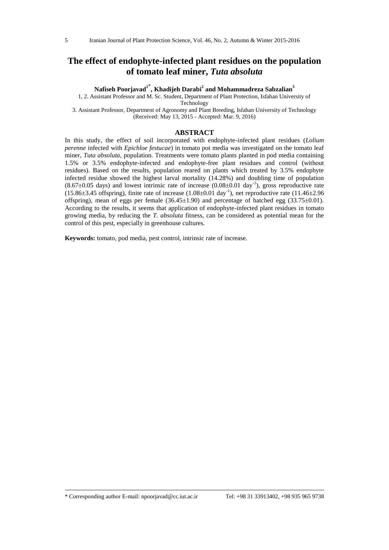### **The effect of endophyte-infected plant residues on the population of tomato leaf miner,** *Tuta absoluta*

**Nafiseh Poorjavad<sup>1</sup>\* , Khadijeh Darabi<sup>2</sup> and Mohammadreza Sabzalian<sup>3</sup>**

1, 2. Assistant Professor and M. Sc. Student, Department of Plant Protection, Isfahan University of Technology

3. Assistant Professor, Department of Agronomy and Plant Breeding, Isfahan University of Technology (Received: May 13, 2015 - Accepted: Mar. 9, 2016)

#### **ABSTRACT**

In this study, the effect of soil incorporated with endophyte-infected plant residues (*Lolium perenne* infected with *Epichloe festucae*) in tomato pot media was investigated on the tomato leaf miner, *Tuta absoluta*, population. Treatments were tomato plants planted in pod media containing 1.5% or 3.5% endophyte-infected and endophyte-free plant residues and control (without residues). Based on the results, population reared on plants which treated by 3.5% endophyte infected residue showed the highest larval mortality (14.28%) and doubling time of population  $(8.67\pm0.05$  days) and lowest intrinsic rate of increase  $(0.08\pm0.01$  day<sup>-1</sup>), gross reproductive rate (15.86±3.45 offspring), finite rate of increase (1.08±0.01 day-1 ), net reproductive rate (11.46±2.96 offspring), mean of eggs per female  $(36.45\pm1.90)$  and percentage of hatched egg  $(33.75\pm0.01)$ . According to the results, it seems that application of endophyte-infected plant residues in tomato growing media, by reducing the *T. absoluta* fitness, can be considered as potential mean for the control of this pest, especially in greenhouse cultures.

**Keywords:** tomato, pod media, pest control, intrinsic rate of increase.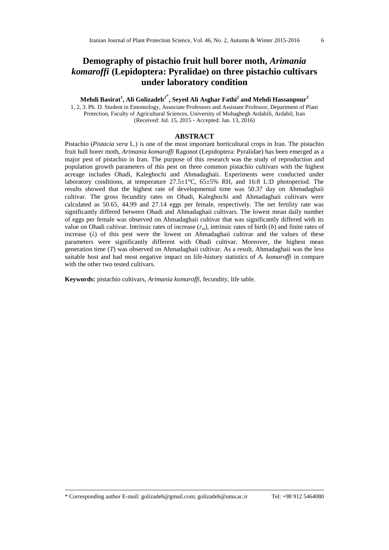# **Demography of pistachio fruit hull borer moth,** *Arimania komaroffi* **(Lepidoptera: Pyralidae) on three pistachio cultivars under laboratory condition**

### **Mehdi Basirat<sup>1</sup> , Ali Golizadeh<sup>2</sup>\* , Seyed Ali Asghar Fathi<sup>2</sup> and Mehdi Hassanpour<sup>3</sup>**

1, 2, 3. Ph. D. Student in Entomology, Associate Professors and Assistant Professor, Department of Plant Protection, Faculty of Agricultural Sciences, University of Mohaghegh Ardabili, Ardabil, Iran (Received: Jul. 15, 2015 - Accepted: Jan. 13, 2016)

#### **ABSTRACT**

Pistachio (*Pistacia vera* L.) is one of the most important horticultural crops in Iran. The pistachio fruit hull borer moth, *Arimania komaroffi* Ragonot (Lepidoptera: Pyralidae) has been emerged as a major pest of pistachio in Iran. The purpose of this research was the study of reproduction and population growth parameters of this pest on three common pistachio cultivars with the highest acreage includes Ohadi, Kaleghochi and Ahmadaghaii. Experiments were conducted under laboratory conditions, at temperature  $27.5\pm1\degree$ C,  $65\pm5\%$  RH, and 16:8 L:D photoperiod. The results showed that the highest rate of developmental time was 50.37 day on Ahmadaghaii cultivar. The gross fecundity rates on Ohadi, Kaleghochi and Ahmadaghaii cultivars were calculated as 50.65, 44.99 and 27.14 eggs per female, respectively. The net fertility rate was significantly differed between Ohadi and Ahmadaghaii cultivars. The lowest mean daily number of eggs per female was observed on Ahmadaghaii cultivar that was significantly differed with its value on Ohadi cultivar. Intrinsic rates of increase (*rm*), intrinsic rates of birth (*b*) and finite rates of increase  $(\lambda)$  of this pest were the lowest on Ahmadaghaii cultivar and the values of these parameters were significantly different with Ohadi cultivar. Moreover, the highest mean generation time (*T*) was observed on Ahmadaghaii cultivar. As a result, Ahmadaghaii was the less suitable host and had most negative impact on life-history statistics of *A. komaroffi* in compare with the other two tested cultivars.

**Keywords:** pistachio cultivars, *Arimania komaroffi,* fecundity, life table.

\* Corresponding author E-mail: golizadeh@gmail.com; golizadeh@uma.ac.ir Tel: +98 912 5464080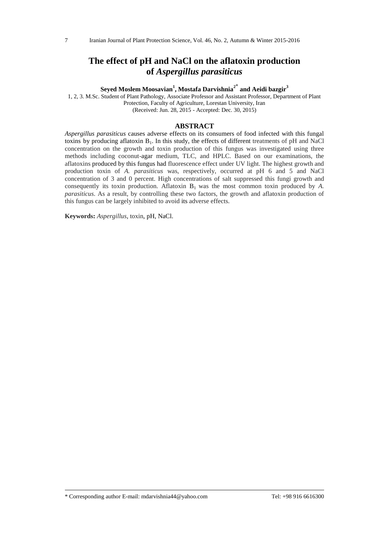# **The effect of pH and NaCl on the aflatoxin production of** *Aspergillus parasiticus*

**Seyed Moslem Moosavian<sup>1</sup> , Mostafa Darvishnia<sup>2</sup>\* and Aeidi bazgir<sup>3</sup>**

1, 2, 3. M.Sc. Student of Plant Pathology, Associate Professor and Assistant Professor, Department of Plant Protection, Faculty of Agriculture, Lorestan University, Iran (Received: Jun. 28, 2015 - Accepted: Dec. 30, 2015)

#### **ABSTRACT**

*Aspergillus parasiticus* causes adverse effects on its consumers of food infected with this fungal toxins by producing aflatoxin  $B_1$ . In this study, the effects of different treatments of pH and NaCl concentration on the growth and toxin production of this fungus was investigated using three methods including coconut-agar medium, TLC, and HPLC. Based on our examinations, the aflatoxins produced by this fungus had fluorescence effect under UV light. The highest growth and production toxin of *A. parasiticus* was, respectively, occurred at pH 6 and 5 and NaCl concentration of 3 and 0 percent. High concentrations of salt suppressed this fungi growth and consequently its toxin production. Aflatoxin  $B_1$  was the most common toxin produced by *A*. *parasiticus*. As a result, by controlling these two factors, the growth and aflatoxin production of this fungus can be largely inhibited to avoid its adverse effects.

**Keywords:** *Aspergillus*, toxin, pH, NaCl.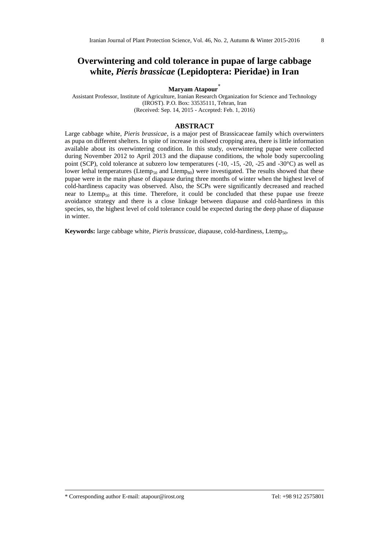# **Overwintering and cold tolerance in pupae of large cabbage white,** *Pieris brassicae* **(Lepidoptera: Pieridae) in Iran**

### **Maryam Atapour\***

Assistant Professor, Institute of Agriculture, Iranian Research Organization for Science and Technology (IROST). P.O. Box: 33535111, Tehran, Iran (Received: Sep. 14, 2015 - Accepted: Feb. 1, 2016)

#### **ABSTRACT**

Large cabbage white, *Pieris brassicae*, is a major pest of Brassicaceae family which overwinters as pupa on different shelters. In spite of increase in oilseed cropping area, there is little information available about its overwintering condition. In this study, overwintering pupae were collected during November 2012 to April 2013 and the diapause conditions, the whole body supercooling point (SCP), cold tolerance at subzero low temperatures (-10, -15, -20, -25 and -30°C) as well as lower lethal temperatures (Ltemp<sub>50</sub> and Ltemp<sub>80</sub>) were investigated. The results showed that these pupae were in the main phase of diapause during three months of winter when the highest level of cold-hardiness capacity was observed. Also, the SCPs were significantly decreased and reached near to Ltemp<sub>50</sub> at this time. Therefore, it could be concluded that these pupae use freeze avoidance strategy and there is a close linkage between diapause and cold-hardiness in this species, so, the highest level of cold tolerance could be expected during the deep phase of diapause in winter.

Keywords: large cabbage white, *Pieris brassicae*, diapause, cold-hardiness, Ltemp<sub>50</sub>.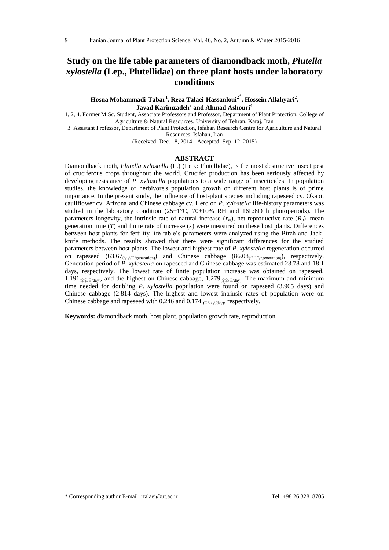# **Study on the life table parameters of diamondback moth,** *Plutella xylostella* **(Lep., Plutellidae) on three plant hosts under laboratory conditions**

**Hosna Mohammadi-Tabar<sup>1</sup> , Reza Talaei-Hassanloui<sup>2</sup>\* , Hossein Allahyari<sup>2</sup> , Javad Karimzadeh<sup>3</sup> and Ahmad Ashouri<sup>4</sup>**

1, 2, 4. Former M.Sc. Student, Associate Professors and Professor, Department of Plant Protection, College of Agriculture & Natural Resources, University of Tehran, Karaj, Iran

3. Assistant Professor, Department of Plant Protection, Isfahan Research Centre for Agriculture and Natural Resources, Isfahan, Iran

(Received: Dec. 18, 2014 - Accepted: Sep. 12, 2015)

#### **ABSTRACT**

Diamondback moth, *Plutella xylostella* (L.) (Lep.: Plutellidae), is the most destructive insect pest of cruciferous crops throughout the world. Crucifer production has been seriously affected by developing resistance of *P*. *xylostella* populations to a wide range of insecticides. In population studies, the knowledge of herbivore's population growth on different host plants is of prime importance. In the present study, the influence of host-plant species including rapeseed cv. Okapi, cauliflower cv. Arizona and Chinese cabbage cv. Hero on *P*. *xylostella* life-history parameters was studied in the laboratory condition  $(25\pm1\degree C, 70\pm10\% \text{ RH}$  and 16L:8D h photoperiods). The parameters longevity, the intrinsic rate of natural increase  $(r_m)$ , net reproductive rate  $(R_0)$ , mean generation time (*T*) and finite rate of increase (*λ*) were measured on these host plants. Differences between host plants for fertility life table's parameters were analyzed using the Birch and Jackknife methods. The results showed that there were significant differences for the studied parameters between host plants. The lowest and highest rate of *P*. *xylostella* regeneration occurred on rapeseed (63.67<sub>(♀♀/♀/generation)</sub>) and Chinese cabbage (86.08<sub>(♀♀/♀/generation</sub>), respectively. Generation period of *P*. *xylostella* on rapeseed and Chinese cabbage was estimated 23.78 and 18.1 days, respectively. The lowest rate of finite population increase was obtained on rapeseed, 1.191<sub>(♀♀/♀/day</sub>), and the highest on Chinese cabbage, 1.279<sub>(♀♀/♀/day</sub>). The maximum and minimum time needed for doubling *P*. *xylostella* population were found on rapeseed (3.965 days) and Chinese cabbage (2.814 days). The highest and lowest intrinsic rates of population were on Chinese cabbage and rapeseed with 0.246 and 0.174  $\frac{QQ}{Q}$ / $\frac{Q}{M}$ , respectively.

**Keywords:** diamondback moth, host plant, population growth rate, reproduction.

\* Corresponding author E-mail: rtalaei@ut.ac.ir Tel: +98 26 32818705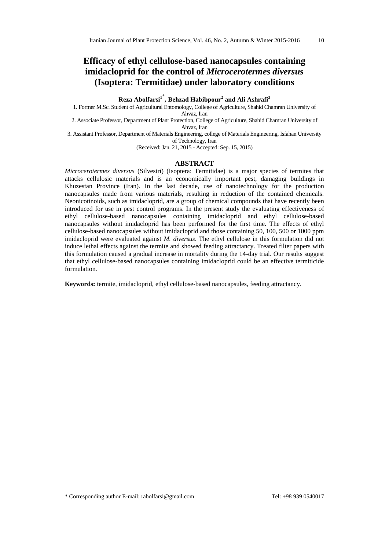# **Efficacy of ethyl cellulose-based nanocapsules containing imidacloprid for the control of** *Microcerotermes diversus*  **(Isoptera: Termitidae) under laboratory conditions**

**Reza Abolfarsi<sup>1</sup>\* , Behzad Habibpour<sup>2</sup> and Ali Ashrafi<sup>3</sup>**

1. Former M.Sc. Student of Agricultural Entomology, College of Agriculture, Shahid Chamran University of Ahvaz, Iran

2. Associate Professor, Department of Plant Protection, College of Agriculture, Shahid Chamran University of Ahvaz, Iran

3. Assistant Professor, Department of Materials Engineering, college of Materials Engineering, Isfahan University of Technology, Iran

(Received: Jan. 21, 2015 - Accepted: Sep. 15, 2015)

#### **ABSTRACT**

*Microcerotermes diversus* (Silvestri) (Isoptera: Termitidae) is a major species of termites that attacks cellulosic materials and is an economically important pest, damaging buildings in Khuzestan Province (Iran). In the last decade, use of nanotechnology for the production nanocapsules made from various materials, resulting in reduction of the contained chemicals. Neonicotinoids, such as imidacloprid, are a group of chemical compounds that have recently been introduced for use in pest control programs. In the present study the evaluating effectiveness of ethyl cellulose-based nanocapsules containing imidacloprid and ethyl cellulose-based nanocapsules without imidacloprid has been performed for the first time. The effects of ethyl cellulose-based nanocapsules without imidacloprid and those containing 50, 100, 500 or 1000 ppm imidacloprid were evaluated against *M. diversus*. The ethyl cellulose in this formulation did not induce lethal effects against the termite and showed feeding attractancy. Treated filter papers with this formulation caused a gradual increase in mortality during the 14-day trial. Our results suggest that ethyl cellulose-based nanocapsules containing imidacloprid could be an effective termiticide formulation.

**Keywords:** termite, imidacloprid, ethyl cellulose-based nanocapsules, feeding attractancy.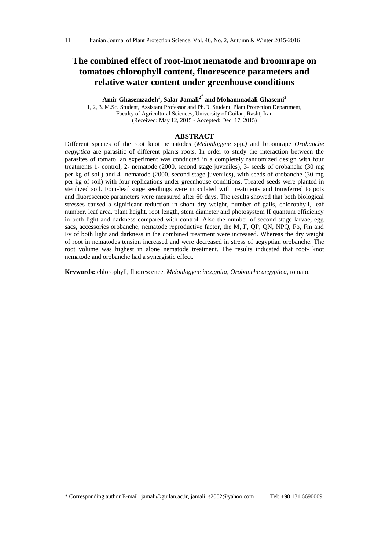# **The combined effect of root-knot nematode and broomrape on tomatoes chlorophyll content, fluorescence parameters and relative water content under greenhouse conditions**

**Amir Ghasemzadeh<sup>1</sup> , Salar Jamali<sup>2</sup>**\* **and Mohammadali Ghasemi<sup>3</sup>**

1, 2, 3. M.Sc. Student, Assistant Professor and Ph.D. Student, Plant Protection Department, Faculty of Agricultural Sciences, University of Guilan, Rasht, Iran (Received: May 12, 2015 - Accepted: Dec. 17, 2015)

### **ABSTRACT**

Different species of the root knot nematodes (*Meloidogyne* spp.*)* and broomrape *Orobanche aegyptica* are parasitic of different plants roots. In order to study the interaction between the parasites of tomato, an experiment was conducted in a completely randomized design with four treatments 1- control, 2- nematode (2000, second stage juveniles), 3- seeds of orobanche (30 mg per kg of soil) and 4- nematode (2000, second stage juveniles), with seeds of orobanche (30 mg per kg of soil) with four replications under greenhouse conditions. Treated seeds were planted in sterilized soil. Four-leaf stage seedlings were inoculated with treatments and transferred to pots and fluorescence parameters were measured after 60 days. The results showed that both biological stresses caused a significant reduction in shoot dry weight, number of galls, chlorophyll, leaf number, leaf area, plant height, root length, stem diameter and photosystem II quantum efficiency in both light and darkness compared with control. Also the number of second stage larvae, egg sacs, accessories orobanche, nematode reproductive factor, the M, F, QP, QN, NPQ, Fo, Fm and Fv of both light and darkness in the combined treatment were increased. Whereas the dry weight of root in nematodes tension increased and were decreased in stress of aegyptian orobanche. The root volume was highest in alone nematode treatment. The results indicated that root- knot nematode and orobanche had a synergistic effect.

**Keywords:** chlorophyll, fluorescence, *Meloidogyne incognita*, *Orobanche aegyptica*, tomato.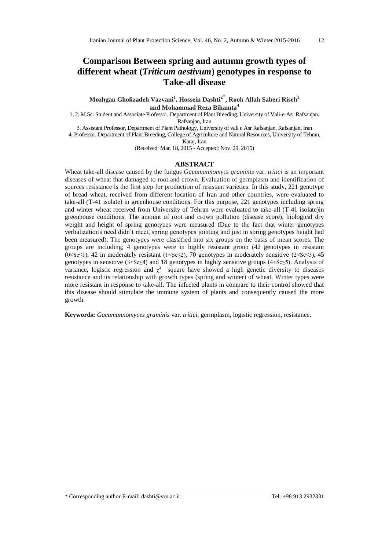# **Comparison Between spring and autumn growth types of different wheat (***Triticum aestivum***) genotypes in response to Take-all disease**

**Mozhgan Gholizadeh Vazvani<sup>1</sup> , Hossein Dashti<sup>2</sup>\* , Rooh Allah Saberi Riseh<sup>3</sup> and Mohammad Reza Bihamta<sup>4</sup>**

1, 2. M.Sc. Student and Associate Professor, Department of Plant Breeding, University of Vali-e-Asr Rafsanjan, Rafsanjan, Iran

3. Assistant Professor, Department of Plant Pathology, University of vali e Asr Rafsanjan, Rafsanjan, Iran

4. Professor, Department of Plant Breeding, College of Agriculture and Natural Resources, University of Tehran, Karaj, Iran

(Received: Mar. 18, 2015 - Accepted: Nov. 29, 2015)

### **ABSTRACT**

Wheat take-all disease caused by the fungus *Gaeumannomycs graminis* var. *tritici* is an important diseases of wheat that damaged to root and crown. Evaluation of germplasm and identification of sources resistance is the first step for production of resistant varieties. In this study, 221 genotype of bread wheat, received from different location of Iran and other countries, were evaluated to take-all (T-41 isolate) in greenhouse conditions. For this purpose, 221 genotypes including spring and winter wheat received from University of Tehran were evaluated to take-all (T-41 isolate)in greenhouse conditions. The amount of root and crown pollution (disease score), biological dry weight and height of spring genotypes were measured (Due to the fact that winter genotypes verbalization's need didn't meet, spring genotypes jointing and just in spring genotypes height had been measured). The genotypes were classified into six groups on the basis of mean scores. The groups are including; 4 genotypes were in highly resistant group (42 genotypes in resistant (0<Sc<1), 42 in moderately resistant (1<Sc<2), 70 genotypes in moderately sensitive (2<Sc<3), 45 genotypes in sensitive  $(3 \leq S \leq 4)$  and 18 genotypes in highly sensitive groups  $(4 \leq S \leq 5)$ . Analysis of variance, logistic regression and  $\chi^2$  -square have showed a high genetic diversity to diseases resistance and its relationship with growth types (spring and winter) of wheat. Winter types were more resistant in response to take-all. The infected plants in compare to their control showed that this disease should stimulate the immune system of plants and consequently caused the more growth.

**Keywords:** *Gaeumannomyces graminis* var. *tritici*, germplasm, logistic regression, resistance.

\* Corresponding author E-mail: dashti@vru.ac.ir Tel: +98 913 2932331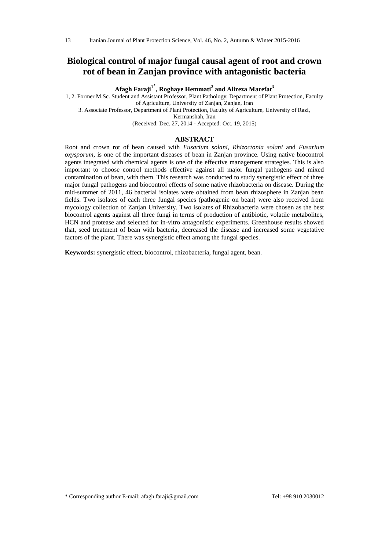### **Biological control of major fungal causal agent of root and crown rot of bean in Zanjan province with antagonistic bacteria**

**Afagh Faraji<sup>1</sup>\* , Roghaye Hemmati<sup>2</sup> and Alireza Marefat<sup>3</sup>**

1, 2. Former M.Sc. Student and Assistant Professor, Plant Pathology, Department of Plant Protection, Faculty of Agriculture, University of Zanjan, Zanjan, Iran

3. Associate Professor, Department of Plant Protection, Faculty of Agriculture, University of Razi,

Kermanshah, Iran

(Received: Dec. 27, 2014 - Accepted: Oct. 19, 2015)

#### **ABSTRACT**

Root and crown rot of bean caused with *Fusarium solani*, *Rhizoctonia solani* and *Fusarium oxysporum*, is one of the important diseases of bean in Zanjan province. Using native biocontrol agents integrated with chemical agents is one of the effective management strategies. This is also important to choose control methods effective against all major fungal pathogens and mixed contamination of bean, with them. This research was conducted to study synergistic effect of three major fungal pathogens and biocontrol effects of some native rhizobacteria on disease. During the mid-summer of 2011, 46 bacterial isolates were obtained from bean rhizosphere in Zanjan bean fields. Two isolates of each three fungal species (pathogenic on bean) were also received from mycology collection of Zanjan University. Two isolates of Rhizobacteria were chosen as the best biocontrol agents against all three fungi in terms of production of antibiotic, volatile metabolites, HCN and protease and selected for in-vitro antagonistic experiments. Greenhouse results showed that, seed treatment of bean with bacteria, decreased the disease and increased some vegetative factors of the plant. There was synergistic effect among the fungal species.

**Keywords:** synergistic effect, biocontrol, rhizobacteria, fungal agent, bean.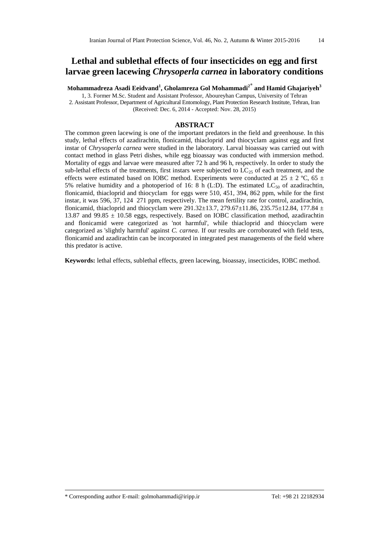# **Lethal and sublethal effects of four insecticides on egg and first larvae green lacewing** *Chrysoperla carnea* **in laboratory conditions**

**Mohammadreza Asadi Eeidvand<sup>1</sup> , Gholamreza Gol Mohammadi<sup>2</sup>\* and Hamid Ghajariyeh<sup>3</sup>**

1, 3. Former M.Sc. Student and Assistant Professor, Aboureyhan Campus, University of Tehran 2. Assistant Professor, Department of Agricultural Entomology, Plant Protection Research Institute, Tehran, Iran (Received: Dec. 6, 2014 - Accepted: Nov. 28, 2015)

### **ABSTRACT**

The common green lacewing is one of the important predators in the field and greenhouse. In this study, lethal effects of azadirachtin, flonicamid, thiacloprid and thiocyclam against egg and first instar of *Chrysoperla carnea* were studied in the laboratory. Larval bioassay was carried out with contact method in glass Petri dishes, while egg bioassay was conducted with immersion method. Mortality of eggs and larvae were measured after 72 h and 96 h, respectively. In order to study the sub-lethal effects of the treatments, first instars were subjected to LC<sub>25</sub> of each treatment, and the effects were estimated based on IOBC method. Experiments were conducted at 25  $\pm$  2 °C, 65  $\pm$ 5% relative humidity and a photoperiod of 16: 8 h (L:D). The estimated  $LC_{50}$  of azadirachtin, flonicamid, thiacloprid and thiocyclam for eggs were 510, 451, 394, 862 ppm, while for the first instar, it was 596, 37, 124 271 ppm, respectively. The mean fertility rate for control, azadirachtin, flonicamid, thiacloprid and thiocyclam were 291.32 $\pm$ 13.7, 279.67 $\pm$ 11.86, 235.75 $\pm$ 12.84, 177.84  $\pm$ 13.87 and 99.85  $\pm$  10.58 eggs, respectively. Based on IOBC classification method, azadirachtin and flonicamid were categorized as 'not harmful', while thiacloprid and thiocyclam were categorized as 'slightly harmful' against *C. carnea*. If our results are corroborated with field tests, flonicamid and azadirachtin can be incorporated in integrated pest managements of the field where this predator is active.

**Keywords:** lethal effects, sublethal effects, green lacewing, bioassay, insecticides, IOBC method.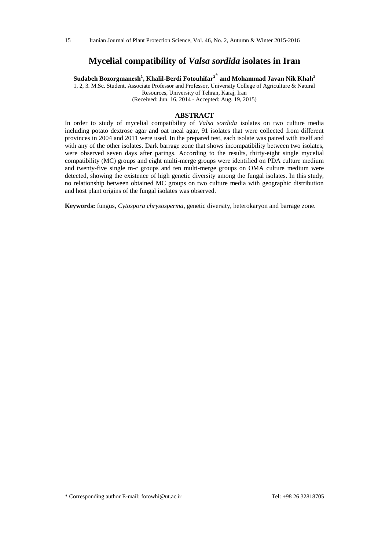### **Mycelial compatibility of** *Valsa sordida* **isolates in Iran**

**Sudabeh Bozorgmanesh<sup>1</sup> , Khalil-Berdi Fotouhifar<sup>2</sup>\* and Mohammad Javan Nik Khah<sup>3</sup>**

1, 2, 3. M.Sc. Student, Associate Professor and Professor, University College of Agriculture & Natural Resources, University of Tehran, Karaj, Iran

(Received: Jun. 16, 2014 - Accepted: Aug. 19, 2015)

### **ABSTRACT**

In order to study of mycelial compatibility of *Valsa sordida* isolates on two culture media including potato dextrose agar and oat meal agar, 91 isolates that were collected from different provinces in 2004 and 2011 were used. In the prepared test, each isolate was paired with itself and with any of the other isolates. Dark barrage zone that shows incompatibility between two isolates, were observed seven days after parings. According to the results, thirty-eight single mycelial compatibility (MC) groups and eight multi-merge groups were identified on PDA culture medium and twenty-five single m-c groups and ten multi-merge groups on OMA culture medium were detected, showing the existence of high genetic diversity among the fungal isolates. In this study, no relationship between obtained MC groups on two culture media with geographic distribution and host plant origins of the fungal isolates was observed.

**Keywords:** fungus, *Cytospora chrysosperma*, genetic diversity, heterokaryon and barrage zone.

<sup>\*</sup> Corresponding author E-mail: fotowhi@ut.ac.ir Tel: +98 26 32818705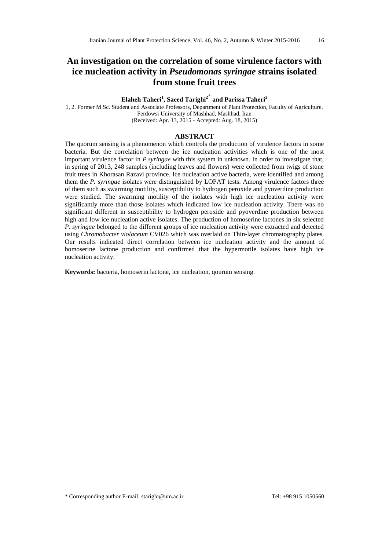# **An investigation on the correlation of some virulence factors with ice nucleation activity in** *Pseudomonas syringae* **strains isolated from stone fruit trees**

### **Elaheh Taheri<sup>1</sup> , Saeed Tarighi<sup>2</sup>\* and Parissa Taheri<sup>2</sup>**

1, 2. Former M.Sc. Student and Associate Professors, Department of Plant Protection, Faculty of Agriculture, Ferdowsi University of Mashhad, Mashhad, Iran (Received: Apr. 13, 2015 - Accepted: Aug. 18, 2015)

### **ABSTRACT**

The quorum sensing is a phenomenon which controls the production of virulence factors in some bacteria. But the correlation between the ice nucleation activities which is one of the most important virulence factor in *P.syringae* with this system in unknown. In order to investigate that, in spring of 2013, 248 samples (including leaves and flowers) were collected from twigs of stone fruit trees in Khorasan Razavi province. Ice nucleation active bacteria, were identified and among them the *P. syringae* isolates were distinguished by LOPAT tests. Among virulence factors three of them such as swarming motility, susceptibility to hydrogen peroxide and pyoverdine production were studied. The swarming motility of the isolates with high ice nucleation activity were significantly more than those isolates which indicated low ice nucleation activity. There was no significant different in susceptibility to hydrogen peroxide and pyoverdine production between high and low ice nucleation active isolates. The production of homoserine lactones in six selected *P. syringae* belonged to the different groups of ice nucleation activity were extracted and detected using *Chromobacter violaceum* CV026 which was overlaid on Thin-layer chromatography plates. Our results indicated direct correlation between ice nucleation activity and the amount of homoserine lactone production and confirmed that the hypermotile isolates have high ice nucleation activity.

**Keywords:** bacteria, homoserin lactone, ice nucleation, qourum sensing.